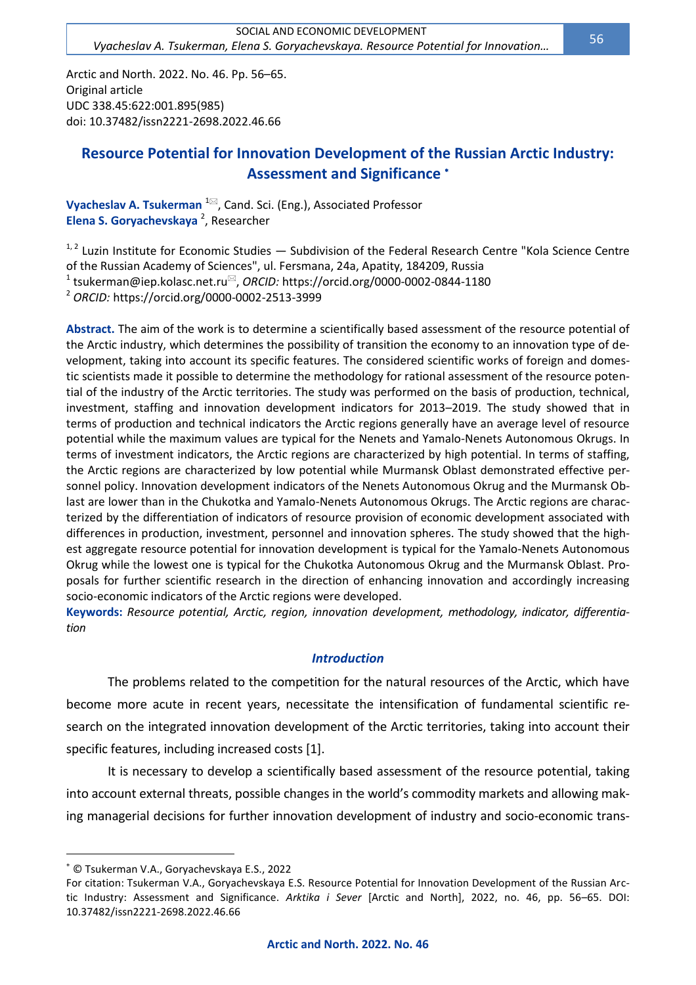Arctic and North. 2022. No. 46. Pp. 56–65. Original article UDC 338.45:622:001.895(985) doi: 10.37482/issn2221-2698.2022.46.66

# **Resource Potential for Innovation Development of the Russian Arctic Industry: Assessment and Significance**

**Vyacheslav A. Tsukerman** <sup>1⊠</sup>, Cand. Sci. (Eng.), Associated Professor **Elena S. Goryachevskaya** <sup>2</sup> , Researcher

<sup>1, 2</sup> Luzin Institute for Economic Studies — Subdivision of the Federal Research Centre "Kola Science Centre of the Russian Academy of Sciences", ul. Fersmana, 24a, Apatity, 184209, Russia <sup>1</sup> [tsukerman@iep.kolasc.net.ru](mailto:tsukerman@iep.kolasc.net.ru)<sup>⊠</sup>, *ORCID:* https://orcid.org/0000-0002-0844-1180 <sup>2</sup> *ORCID:* https://orcid.org[/0000-0002-2513-3999](https://orcid.org/0000-0002-2513-3999)

**Abstract.** The aim of the work is to determine a scientifically based assessment of the resource potential of the Arctic industry, which determines the possibility of transition the economy to an innovation type of development, taking into account its specific features. The considered scientific works of foreign and domestic scientists made it possible to determine the methodology for rational assessment of the resource potential of the industry of the Arctic territories. The study was performed on the basis of production, technical, investment, staffing and innovation development indicators for 2013–2019. The study showed that in terms of production and technical indicators the Arctic regions generally have an average level of resource potential while the maximum values are typical for the Nenets and Yamalo-Nenets Autonomous Okrugs. In terms of investment indicators, the Arctic regions are characterized by high potential. In terms of staffing, the Arctic regions are characterized by low potential while Murmansk Oblast demonstrated effective personnel policy. Innovation development indicators of the Nenets Autonomous Okrug and the Murmansk Oblast are lower than in the Chukotka and Yamalo-Nenets Autonomous Okrugs. The Arctic regions are characterized by the differentiation of indicators of resource provision of economic development associated with differences in production, investment, personnel and innovation spheres. The study showed that the highest aggregate resource potential for innovation development is typical for the Yamalo-Nenets Autonomous Okrug while the lowest one is typical for the Chukotka Autonomous Okrug and the Murmansk Oblast. Proposals for further scientific research in the direction of enhancing innovation and accordingly increasing socio-economic indicators of the Arctic regions were developed.

**Keywords:** *Resource potential, Arctic, region, innovation development, methodology, indicator, differentiation*

### *Introduction*

The problems related to the competition for the natural resources of the Arctic, which have become more acute in recent years, necessitate the intensification of fundamental scientific research on the integrated innovation development of the Arctic territories, taking into account their specific features, including increased costs [1].

It is necessary to develop a scientifically based assessment of the resource potential, taking into account external threats, possible changes in the world's commodity markets and allowing making managerial decisions for further innovation development of industry and socio-economic trans-

© Tsukerman V.A., Goryachevskaya E.S., 2022

For citation: Tsukerman V.A., Goryachevskaya E.S. Resource Potential for Innovation Development of the Russian Arctic Industry: Assessment and Significance. *Arktika i Sever* [Arctic and North], 2022, no. 46, pp. 56–65. DOI: 10.37482/issn2221-2698.2022.46.66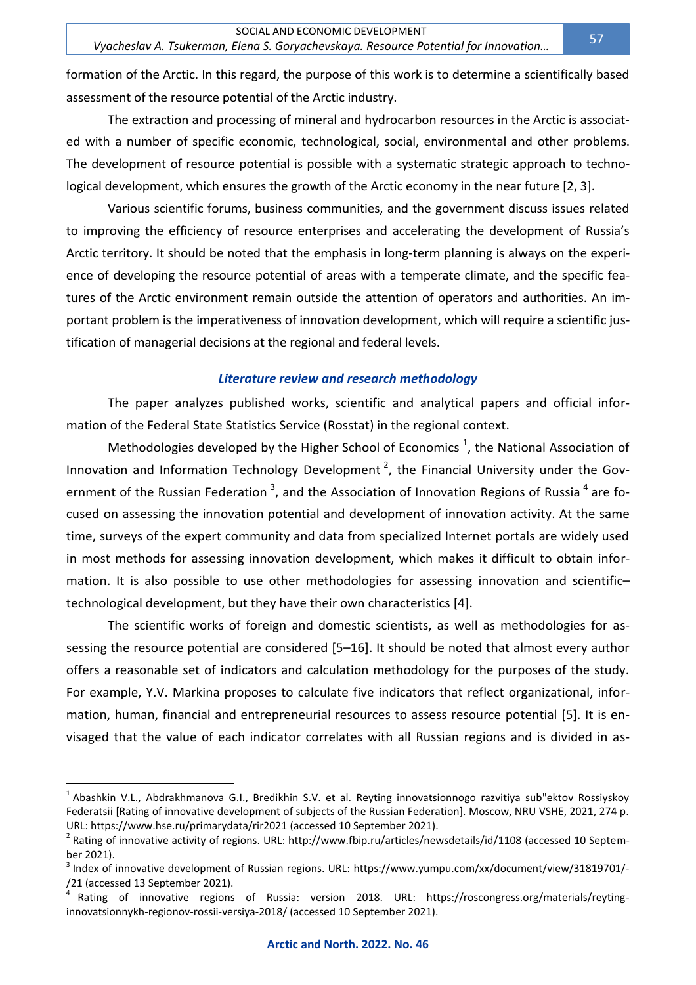formation of the Arctic. In this regard, the purpose of this work is to determine a scientifically based assessment of the resource potential of the Arctic industry.

The extraction and processing of mineral and hydrocarbon resources in the Arctic is associated with a number of specific economic, technological, social, environmental and other problems. The development of resource potential is possible with a systematic strategic approach to technological development, which ensures the growth of the Arctic economy in the near future [2, 3].

Various scientific forums, business communities, and the government discuss issues related to improving the efficiency of resource enterprises and accelerating the development of Russia's Arctic territory. It should be noted that the emphasis in long-term planning is always on the experience of developing the resource potential of areas with a temperate climate, and the specific features of the Arctic environment remain outside the attention of operators and authorities. An important problem is the imperativeness of innovation development, which will require a scientific justification of managerial decisions at the regional and federal levels.

### *Literature review and research methodology*

The paper analyzes published works, scientific and analytical papers and official information of the Federal State Statistics Service (Rosstat) in the regional context.

Methodologies developed by the Higher School of Economics  $^1$ , the National Association of Innovation and Information Technology Development<sup>2</sup>, the Financial University under the Government of the Russian Federation<sup>3</sup>, and the Association of Innovation Regions of Russia<sup>4</sup> are focused on assessing the innovation potential and development of innovation activity. At the same time, surveys of the expert community and data from specialized Internet portals are widely used in most methods for assessing innovation development, which makes it difficult to obtain information. It is also possible to use other methodologies for assessing innovation and scientific– technological development, but they have their own characteristics [4].

The scientific works of foreign and domestic scientists, as well as methodologies for assessing the resource potential are considered [5–16]. It should be noted that almost every author offers a reasonable set of indicators and calculation methodology for the purposes of the study. For example, Y.V. Markina proposes to calculate five indicators that reflect organizational, information, human, financial and entrepreneurial resources to assess resource potential [5]. It is envisaged that the value of each indicator correlates with all Russian regions and is divided in as-

<sup>&</sup>lt;sup>1</sup> Abashkin V.L., Abdrakhmanova G.I., Bredikhin S.V. et al. Reyting innovatsionnogo razvitiya sub"ektov Rossiyskoy Federatsii [Rating of innovative development of subjects of the Russian Federation]. Moscow, NRU VSHE, 2021, 274 p. URL[: https://www.hse.ru/primarydata/rir2021](https://www.hse.ru/primarydata/rir2021) (accessed 10 September 2021).

<sup>&</sup>lt;sup>2</sup> Rating of innovative activity of regions. URL: http://www.fbip.ru/articles/newsdetails/id/1108 (accessed 10 September 2021).

<sup>&</sup>lt;sup>3</sup> Index of innovative development of Russian regions. URL: https://www.yumpu.com/xx/document/view/31819701/-/21 (accessed 13 September 2021).

<sup>4</sup> Rating of innovative regions of Russia: version 2018. URL: https://roscongress.org/materials/reytinginnovatsionnykh-regionov-rossii-versiya-2018/ (accessed 10 September 2021).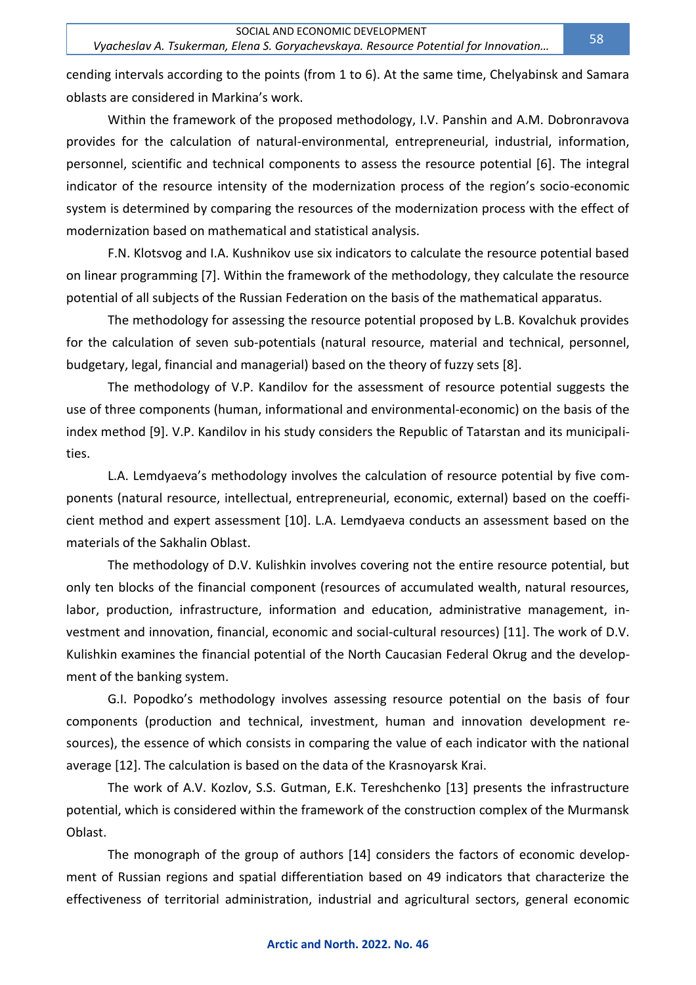cending intervals according to the points (from 1 to 6). At the same time, Chelyabinsk and Samara oblasts are considered in Markina's work.

Within the framework of the proposed methodology, I.V. Panshin and A.M. Dobronravova provides for the calculation of natural-environmental, entrepreneurial, industrial, information, personnel, scientific and technical components to assess the resource potential [6]. The integral indicator of the resource intensity of the modernization process of the region's socio-economic system is determined by comparing the resources of the modernization process with the effect of modernization based on mathematical and statistical analysis.

F.N. Klotsvog and I.A. Kushnikov use six indicators to calculate the resource potential based on linear programming [7]. Within the framework of the methodology, they calculate the resource potential of all subjects of the Russian Federation on the basis of the mathematical apparatus.

The methodology for assessing the resource potential proposed by L.B. Kovalchuk provides for the calculation of seven sub-potentials (natural resource, material and technical, personnel, budgetary, legal, financial and managerial) based on the theory of fuzzy sets [8].

The methodology of V.P. Kandilov for the assessment of resource potential suggests the use of three components (human, informational and environmental-economic) on the basis of the index method [9]. V.P. Kandilov in his study considers the Republic of Tatarstan and its municipalities.

L.A. Lemdyaeva's methodology involves the calculation of resource potential by five components (natural resource, intellectual, entrepreneurial, economic, external) based on the coefficient method and expert assessment [10]. L.A. Lemdyaeva conducts an assessment based on the materials of the Sakhalin Oblast.

The methodology of D.V. Kulishkin involves covering not the entire resource potential, but only ten blocks of the financial component (resources of accumulated wealth, natural resources, labor, production, infrastructure, information and education, administrative management, investment and innovation, financial, economic and social-cultural resources) [11]. The work of D.V. Kulishkin examines the financial potential of the North Caucasian Federal Okrug and the development of the banking system.

G.I. Popodko's methodology involves assessing resource potential on the basis of four components (production and technical, investment, human and innovation development resources), the essence of which consists in comparing the value of each indicator with the national average [12]. The calculation is based on the data of the Krasnoyarsk Krai.

The work of A.V. Kozlov, S.S. Gutman, E.K. Tereshchenko [13] presents the infrastructure potential, which is considered within the framework of the construction complex of the Murmansk Oblast.

The monograph of the group of authors [14] considers the factors of economic development of Russian regions and spatial differentiation based on 49 indicators that characterize the effectiveness of territorial administration, industrial and agricultural sectors, general economic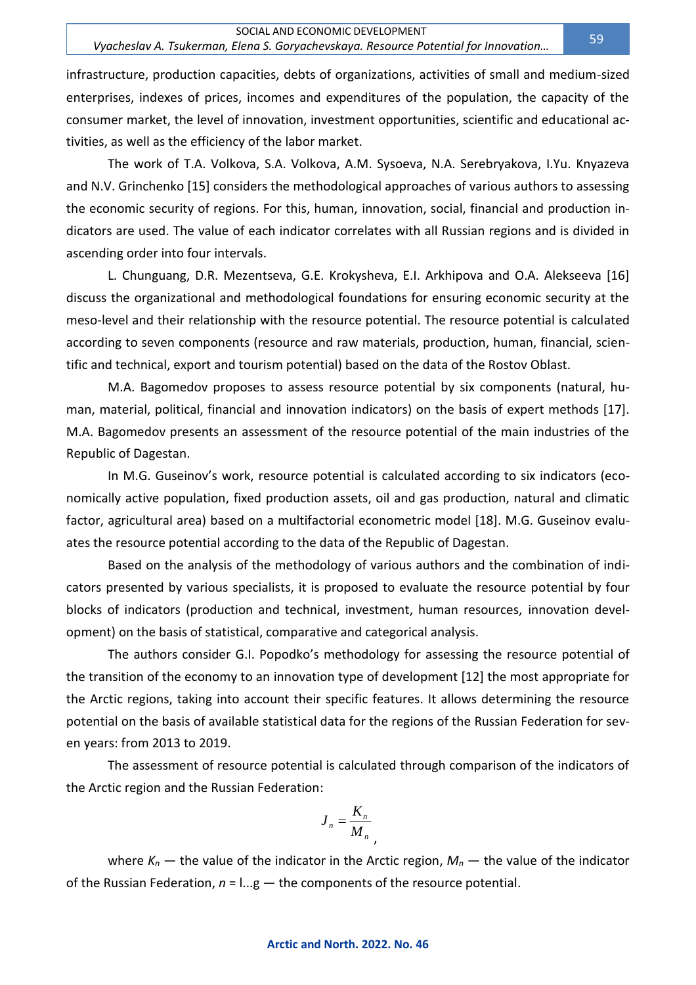infrastructure, production capacities, debts of organizations, activities of small and medium-sized enterprises, indexes of prices, incomes and expenditures of the population, the capacity of the consumer market, the level of innovation, investment opportunities, scientific and educational activities, as well as the efficiency of the labor market.

The work of T.A. Volkova, S.A. Volkova, A.M. Sysoeva, N.A. Serebryakova, I.Yu. Knyazeva and N.V. Grinchenko [15] considers the methodological approaches of various authors to assessing the economic security of regions. For this, human, innovation, social, financial and production indicators are used. The value of each indicator correlates with all Russian regions and is divided in ascending order into four intervals.

L. Chunguang, D.R. Mezentseva, G.E. Krokysheva, E.I. Arkhipova and O.A. Alekseeva [16] discuss the organizational and methodological foundations for ensuring economic security at the meso-level and their relationship with the resource potential. The resource potential is calculated according to seven components (resource and raw materials, production, human, financial, scientific and technical, export and tourism potential) based on the data of the Rostov Oblast.

M.A. Bagomedov proposes to assess resource potential by six components (natural, human, material, political, financial and innovation indicators) on the basis of expert methods [17]. M.A. Bagomedov presents an assessment of the resource potential of the main industries of the Republic of Dagestan.

In M.G. Guseinov's work, resource potential is calculated according to six indicators (economically active population, fixed production assets, oil and gas production, natural and climatic factor, agricultural area) based on a multifactorial econometric model [18]. M.G. Guseinov evaluates the resource potential according to the data of the Republic of Dagestan.

Based on the analysis of the methodology of various authors and the combination of indicators presented by various specialists, it is proposed to evaluate the resource potential by four blocks of indicators (production and technical, investment, human resources, innovation development) on the basis of statistical, comparative and categorical analysis.

The authors consider G.I. Popodko's methodology for assessing the resource potential of the transition of the economy to an innovation type of development [12] the most appropriate for the Arctic regions, taking into account their specific features. It allows determining the resource potential on the basis of available statistical data for the regions of the Russian Federation for seven years: from 2013 to 2019.

The assessment of resource potential is calculated through comparison of the indicators of the Arctic region and the Russian Federation:

$$
J_n = \frac{K_n}{M_n}
$$

,

where  $K_n$  — the value of the indicator in the Arctic region,  $M_n$  — the value of the indicator of the Russian Federation, *n* = l...g — the components of the resource potential.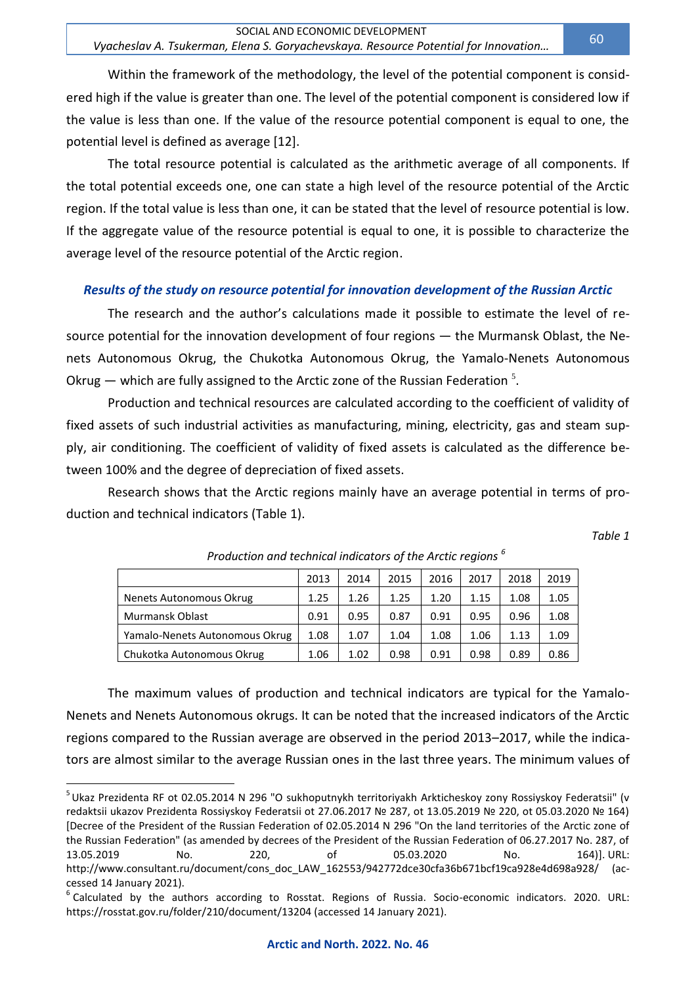Within the framework of the methodology, the level of the potential component is considered high if the value is greater than one. The level of the potential component is considered low if the value is less than one. If the value of the resource potential component is equal to one, the potential level is defined as average [12].

The total resource potential is calculated as the arithmetic average of all components. If the total potential exceeds one, one can state a high level of the resource potential of the Arctic region. If the total value is less than one, it can be stated that the level of resource potential is low. If the aggregate value of the resource potential is equal to one, it is possible to characterize the average level of the resource potential of the Arctic region.

### *Results of the study on resource potential for innovation development of the Russian Arctic*

The research and the author's calculations made it possible to estimate the level of resource potential for the innovation development of four regions — the Murmansk Oblast, the Nenets Autonomous Okrug, the Chukotka Autonomous Okrug, the Yamalo-Nenets Autonomous Okrug  $-$  which are fully assigned to the Arctic zone of the Russian Federation  $5$ .

Production and technical resources are calculated according to the coefficient of validity of fixed assets of such industrial activities as manufacturing, mining, electricity, gas and steam supply, air conditioning. The coefficient of validity of fixed assets is calculated as the difference between 100% and the degree of depreciation of fixed assets.

Research shows that the Arctic regions mainly have an average potential in terms of production and technical indicators (Table 1).

*Table 1*

|                                | 2013 | 2014 | 2015 | 2016 | 2017 | 2018 | 2019 |
|--------------------------------|------|------|------|------|------|------|------|
| Nenets Autonomous Okrug        | 1.25 | 1.26 | 1.25 | 1.20 | 1.15 | 1.08 | 1.05 |
| Murmansk Oblast                | 0.91 | 0.95 | 0.87 | 0.91 | 0.95 | 0.96 | 1.08 |
| Yamalo-Nenets Autonomous Okrug | 1.08 | 1.07 | 1.04 | 1.08 | 1.06 | 1.13 | 1.09 |
| Chukotka Autonomous Okrug      | 1.06 | 1.02 | 0.98 | 0.91 | 0.98 | 0.89 | 0.86 |

*Production and technical indicators of the Arctic regions <sup>6</sup>*

The maximum values of production and technical indicators are typical for the Yamalo-Nenets and Nenets Autonomous okrugs. It can be noted that the increased indicators of the Arctic regions compared to the Russian average are observed in the period 2013–2017, while the indicators are almost similar to the average Russian ones in the last three years. The minimum values of

<sup>&</sup>lt;sup>5</sup> Ukaz Prezidenta RF ot 02.05.2014 N 296 "O sukhoputnykh territoriyakh Arkticheskoy zony Rossiyskoy Federatsii" (v redaktsii ukazov Prezidenta Rossiyskoy Federatsii ot 27.06.2017 № 287, ot 13.05.2019 № 220, ot 05.03.2020 № 164) [Decree of the President of the Russian Federation of 02.05.2014 N 296 "On the land territories of the Arctic zone of the Russian Federation" (as amended by decrees of the President of the Russian Federation of 06.27.2017 No. 287, of 13.05.2019 No. 220, of 05.03.2020 No. 164)]. URL: [http://www.consultant.ru/document/cons\\_doc\\_LAW\\_162553/942772dce30cfa36b671bcf19ca928e4d698a928/](http://www.consultant.ru/document/cons_doc_LAW_162553/942772dce30cfa36b671bcf19ca928e4d698a928/) (accessed 14 January 2021).

<sup>&</sup>lt;sup>6</sup> Calculated by the authors according to Rosstat. Regions of Russia. Socio-economic indicators. 2020. URL: https://rosstat.gov.ru/folder/210/document/13204 (accessed 14 January 2021).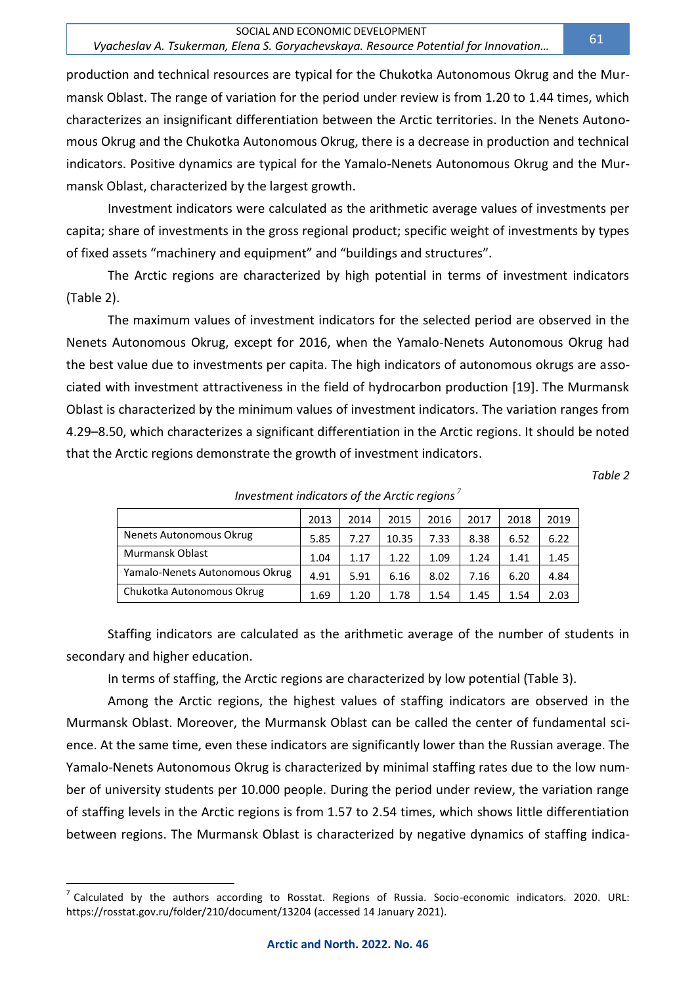production and technical resources are typical for the Chukotka Autonomous Okrug and the Murmansk Oblast. The range of variation for the period under review is from 1.20 to 1.44 times, which characterizes an insignificant differentiation between the Arctic territories. In the Nenets Autonomous Okrug and the Chukotka Autonomous Okrug, there is a decrease in production and technical indicators. Positive dynamics are typical for the Yamalo-Nenets Autonomous Okrug and the Murmansk Oblast, characterized by the largest growth.

Investment indicators were calculated as the arithmetic average values of investments per capita; share of investments in the gross regional product; specific weight of investments by types of fixed assets "machinery and equipment" and "buildings and structures".

The Arctic regions are characterized by high potential in terms of investment indicators (Table 2).

The maximum values of investment indicators for the selected period are observed in the Nenets Autonomous Okrug, except for 2016, when the Yamalo-Nenets Autonomous Okrug had the best value due to investments per capita. The high indicators of autonomous okrugs are associated with investment attractiveness in the field of hydrocarbon production [19]. The Murmansk Oblast is characterized by the minimum values of investment indicators. The variation ranges from 4.29–8.50, which characterizes a significant differentiation in the Arctic regions. It should be noted that the Arctic regions demonstrate the growth of investment indicators.

*Table 2*

|                                | 2013 | 2014 | 2015  | 2016 | 2017 | 2018 | 2019 |
|--------------------------------|------|------|-------|------|------|------|------|
| Nenets Autonomous Okrug        | 5.85 | 7.27 | 10.35 | 7.33 | 8.38 | 6.52 | 6.22 |
| Murmansk Oblast                | 1.04 | 1.17 | 1.22  | 1.09 | 1.24 | 1.41 | 1.45 |
| Yamalo-Nenets Autonomous Okrug | 4.91 | 5.91 | 6.16  | 8.02 | 7.16 | 6.20 | 4.84 |
| Chukotka Autonomous Okrug      | 1.69 | 1.20 | 1.78  | 1.54 | 1.45 | 1.54 | 2.03 |

*Investment indicators of the Arctic regions <sup>7</sup>*

Staffing indicators are calculated as the arithmetic average of the number of students in secondary and higher education.

In terms of staffing, the Arctic regions are characterized by low potential (Table 3).

Among the Arctic regions, the highest values of staffing indicators are observed in the Murmansk Oblast. Moreover, the Murmansk Oblast can be called the center of fundamental science. At the same time, even these indicators are significantly lower than the Russian average. The Yamalo-Nenets Autonomous Okrug is characterized by minimal staffing rates due to the low number of university students per 10.000 people. During the period under review, the variation range of staffing levels in the Arctic regions is from 1.57 to 2.54 times, which shows little differentiation between regions. The Murmansk Oblast is characterized by negative dynamics of staffing indica-

 $^7$  Calculated by the authors according to Rosstat. Regions of Russia. Socio-economic indicators. 2020. URL: https://rosstat.gov.ru/folder/210/document/13204 (accessed 14 January 2021).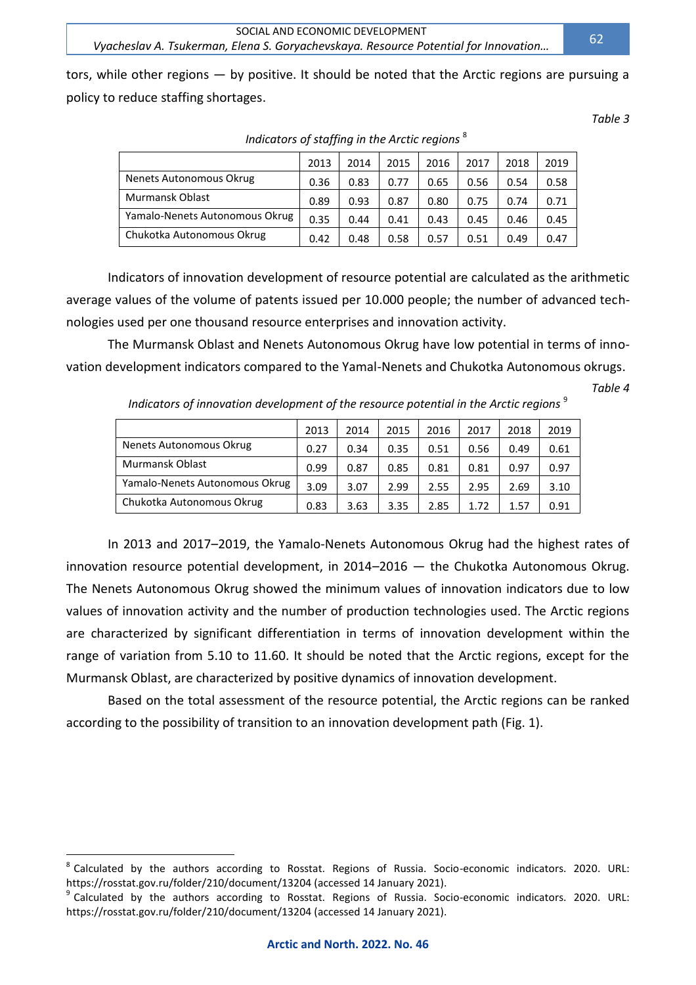tors, while other regions — by positive. It should be noted that the Arctic regions are pursuing a policy to reduce staffing shortages.

*Table 3*

|                                | 2013 | 2014 | 2015 | 2016 | 2017 | 2018 | 2019 |
|--------------------------------|------|------|------|------|------|------|------|
| Nenets Autonomous Okrug        | 0.36 | 0.83 | 0.77 | 0.65 | 0.56 | 0.54 | 0.58 |
| Murmansk Oblast                | 0.89 | 0.93 | 0.87 | 0.80 | 0.75 | 0.74 | 0.71 |
| Yamalo-Nenets Autonomous Okrug | 0.35 | 0.44 | 0.41 | 0.43 | 0.45 | 0.46 | 0.45 |
| Chukotka Autonomous Okrug      | 0.42 | 0.48 | 0.58 | 0.57 | 0.51 | 0.49 | 0.47 |

*Indicators of staffing in the Arctic regions* <sup>8</sup>

Indicators of innovation development of resource potential are calculated as the arithmetic average values of the volume of patents issued per 10.000 people; the number of advanced technologies used per one thousand resource enterprises and innovation activity.

The Murmansk Oblast and Nenets Autonomous Okrug have low potential in terms of innovation development indicators compared to the Yamal-Nenets and Chukotka Autonomous okrugs.

*Table 4*

|                                | 2013 | 2014 | 2015 | 2016 | 2017 | 2018 | 2019 |
|--------------------------------|------|------|------|------|------|------|------|
| Nenets Autonomous Okrug        | 0.27 | 0.34 | 0.35 | 0.51 | 0.56 | 0.49 | 0.61 |
| Murmansk Oblast                | 0.99 | 0.87 | 0.85 | 0.81 | 0.81 | 0.97 | 0.97 |
| Yamalo-Nenets Autonomous Okrug | 3.09 | 3.07 | 2.99 | 2.55 | 2.95 | 2.69 | 3.10 |
| Chukotka Autonomous Okrug      | 0.83 | 3.63 | 3.35 | 2.85 | 1.72 | 1.57 | 0.91 |

*Indicators of innovation development of the resource potential in the Arctic regions* <sup>9</sup>

In 2013 and 2017–2019, the Yamalo-Nenets Autonomous Okrug had the highest rates of innovation resource potential development, in 2014–2016 — the Chukotka Autonomous Okrug. The Nenets Autonomous Okrug showed the minimum values of innovation indicators due to low values of innovation activity and the number of production technologies used. The Arctic regions are characterized by significant differentiation in terms of innovation development within the range of variation from 5.10 to 11.60. It should be noted that the Arctic regions, except for the Murmansk Oblast, are characterized by positive dynamics of innovation development.

Based on the total assessment of the resource potential, the Arctic regions can be ranked according to the possibility of transition to an innovation development path (Fig. 1).

 $\overline{a}$ 

62

<sup>&</sup>lt;sup>8</sup> Calculated by the authors according to Rosstat. Regions of Russia. Socio-economic indicators. 2020. URL: https://rosstat.gov.ru/folder/210/document/13204 (accessed 14 January 2021).

<sup>&</sup>lt;sup>9</sup> Calculated by the authors according to Rosstat. Regions of Russia. Socio-economic indicators. 2020. URL: https://rosstat.gov.ru/folder/210/document/13204 (accessed 14 January 2021).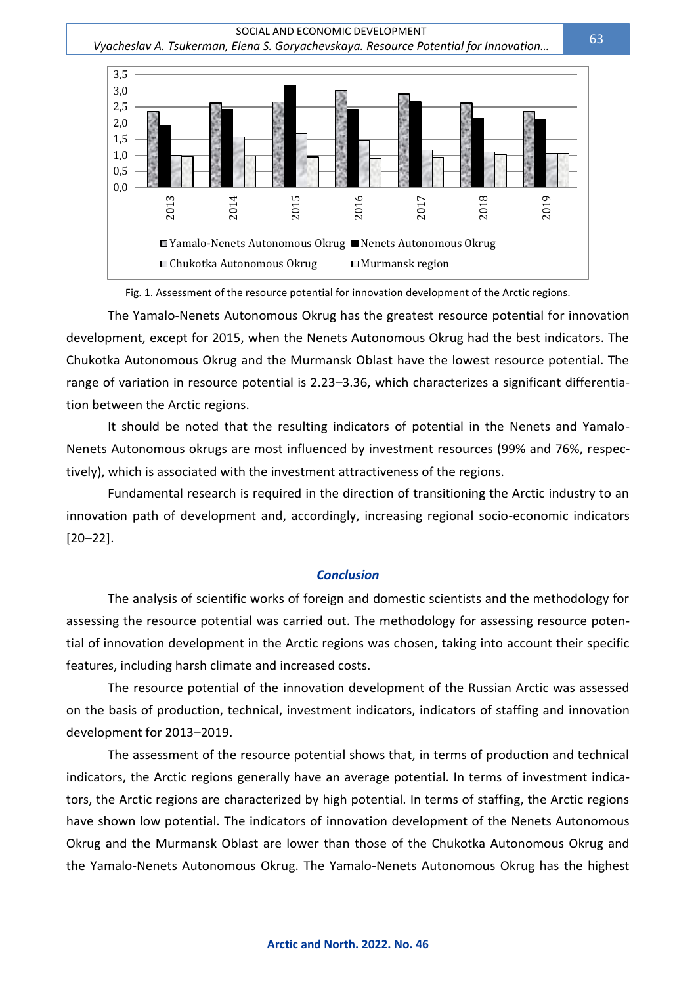SOCIAL AND ECONOMIC DEVELOPMENT  *Vyacheslav A. Tsukerman, Elena S. Goryachevskaya. Resource Potential for Innovation…*



Fig. 1. Assessment of the resource potential for innovation development of the Arctic regions.

The Yamalo-Nenets Autonomous Okrug has the greatest resource potential for innovation development, except for 2015, when the Nenets Autonomous Okrug had the best indicators. The Chukotka Autonomous Okrug and the Murmansk Oblast have the lowest resource potential. The range of variation in resource potential is 2.23–3.36, which characterizes a significant differentiation between the Arctic regions.

It should be noted that the resulting indicators of potential in the Nenets and Yamalo-Nenets Autonomous okrugs are most influenced by investment resources (99% and 76%, respectively), which is associated with the investment attractiveness of the regions.

Fundamental research is required in the direction of transitioning the Arctic industry to an innovation path of development and, accordingly, increasing regional socio-economic indicators [20–22].

#### *Conclusion*

The analysis of scientific works of foreign and domestic scientists and the methodology for assessing the resource potential was carried out. The methodology for assessing resource potential of innovation development in the Arctic regions was chosen, taking into account their specific features, including harsh climate and increased costs.

The resource potential of the innovation development of the Russian Arctic was assessed on the basis of production, technical, investment indicators, indicators of staffing and innovation development for 2013–2019.

The assessment of the resource potential shows that, in terms of production and technical indicators, the Arctic regions generally have an average potential. In terms of investment indicators, the Arctic regions are characterized by high potential. In terms of staffing, the Arctic regions have shown low potential. The indicators of innovation development of the Nenets Autonomous Okrug and the Murmansk Oblast are lower than those of the Chukotka Autonomous Okrug and the Yamalo-Nenets Autonomous Okrug. The Yamalo-Nenets Autonomous Okrug has the highest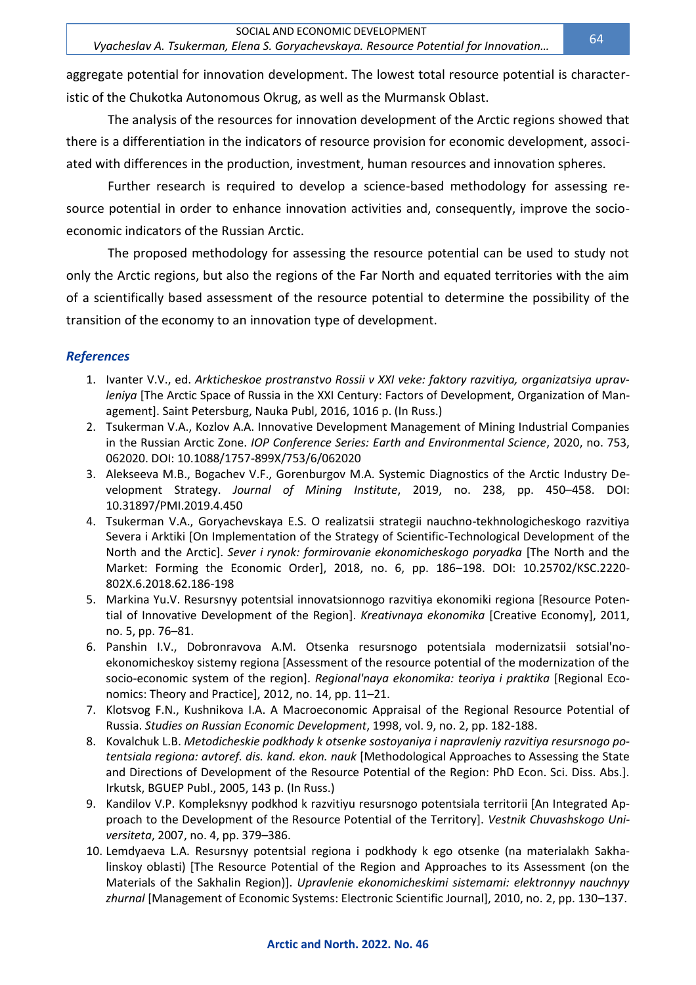aggregate potential for innovation development. The lowest total resource potential is characteristic of the Chukotka Autonomous Okrug, as well as the Murmansk Oblast.

The analysis of the resources for innovation development of the Arctic regions showed that there is a differentiation in the indicators of resource provision for economic development, associated with differences in the production, investment, human resources and innovation spheres.

Further research is required to develop a science-based methodology for assessing resource potential in order to enhance innovation activities and, consequently, improve the socioeconomic indicators of the Russian Arctic.

The proposed methodology for assessing the resource potential can be used to study not only the Arctic regions, but also the regions of the Far North and equated territories with the aim of a scientifically based assessment of the resource potential to determine the possibility of the transition of the economy to an innovation type of development.

## *References*

- 1. Ivanter V.V., ed. *Arkticheskoe prostranstvo Rossii v XXI veke: faktory razvitiya, organizatsiya upravleniya* [The Arctic Space of Russia in the XXI Century: Factors of Development, Organization of Management]. Saint Petersburg, Nauka Publ, 2016, 1016 p. (In Russ.)
- 2. Tsukerman V.A., Kozlov A.A. Innovative Development Management of Mining Industrial Companies in the Russian Arctic Zone. *IOP Conference Series: Earth and Environmental Science*, 2020, no. 753, 062020. DOI: 10.1088/1757-899X/753/6/062020
- 3. Alekseeva M.B., Bogachev V.F., Gorenburgov M.A. Systemic Diagnostics of the Arctic Industry Development Strategy. *Journal of Mining Institute*, 2019, no. 238, pp. 450–458. DOI: 10.31897/PMI.2019.4.450
- 4. Tsukerman V.A., Goryachevskaya E.S. O realizatsii strategii nauchno-tekhnologicheskogo razvitiya Severa i Arktiki [On Implementation of the Strategy of Scientific-Technological Development of the North and the Arctic]. *Sever i rynok: formirovanie ekonomicheskogo poryadka* [The North and the Market: Forming the Economic Order], 2018, no. 6, pp. 186–198. DOI: 10.25702/KSC.2220- 802X.6.2018.62.186-198
- 5. Markina Yu.V. Resursnyy potentsial innovatsionnogo razvitiya ekonomiki regiona [Resource Potential of Innovative Development of the Region]. *Kreativnaya ekonomika* [Creative Economy], 2011, no. 5, pp. 76–81.
- 6. Panshin I.V., Dobronravova A.M. Otsenka resursnogo potentsiala modernizatsii sotsial'noekonomicheskoy sistemy regiona [Assessment of the resource potential of the modernization of the socio-economic system of the region]. *Regional'naya ekonomika: teoriya i praktika* [Regional Economics: Theory and Practice], 2012, no. 14, pp. 11–21.
- 7. Klotsvog F.N., Kushnikova I.A. A Macroeconomic Appraisal of the Regional Resource Potential of Russia. *Studies on Russian Economic Development*, 1998, vol. 9, no. 2, pp. 182-188.
- 8. Kovalchuk L.B. *Metodicheskie podkhody k otsenke sostoyaniya i napravleniy razvitiya resursnogo potentsiala regiona: avtoref. dis. kand. ekon. nauk* [Methodological Approaches to Assessing the State and Directions of Development of the Resource Potential of the Region: PhD Econ. Sci. Diss. Abs.]. Irkutsk, BGUEP Publ., 2005, 143 p. (In Russ.)
- 9. Kandilov V.P. Kompleksnyy podkhod k razvitiyu resursnogo potentsiala territorii [An Integrated Approach to the Development of the Resource Potential of the Territory]. *Vestnik Chuvashskogo Universiteta*, 2007, no. 4, pp. 379–386.
- 10. Lemdyaeva L.A. Resursnyy potentsial regiona i podkhody k ego otsenke (na materialakh Sakhalinskoy oblasti) [The Resource Potential of the Region and Approaches to its Assessment (on the Materials of the Sakhalin Region)]. *Upravlenie ekonomicheskimi sistemami: elektronnyy nauchnyy zhurnal* [Management of Economic Systems: Electronic Scientific Journal], 2010, no. 2, pp. 130–137.